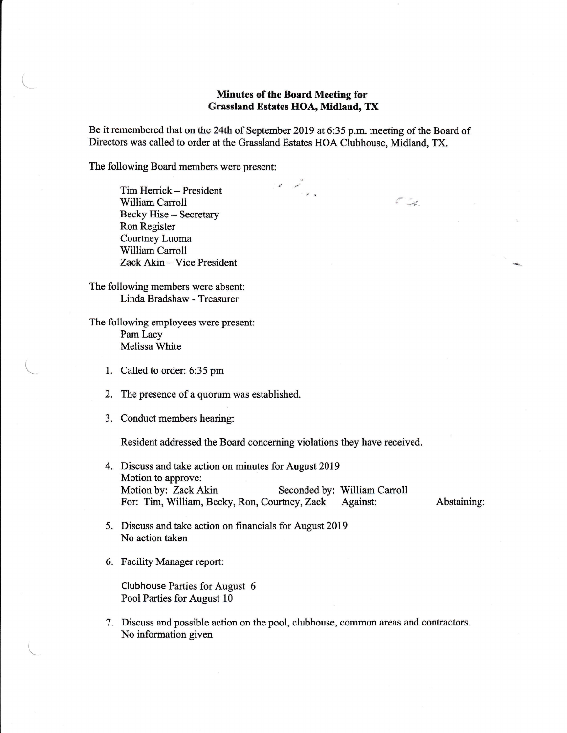## Minutes of the Board Meeting for Grassland Estates HOA, Midland, TX

المستبر.<br>موسيق

Be it remembered that on the 24th of September 2019 at 6:35 p.m. meeting of the Board of Directors was called to order at the Grassland Estates HOA Clubhouse, Midland, TX.

The following Board members were present:

 $\sqrt{2}$ 

 $\setminus$ 

Tim Herrick - President William Carroll Becky Hise - Secretary Ron Register Courtney Luoma William Carroll Zack Akin - Vice President

The following members were absent: Linda Bradshaw - Treasurer

The following employees were present: Pam Lacy Melissa White

- 1. Called to order: 6:35 pm
- 2. The presence of a quorum was established.
- 3. Conduct members hearing:

Resident addressed the Board concenring violations they have received.

4. Discuss and take action on minutes for August 2019 Motion to approve: Motion by: Zack Akin Seconded by: William Carroll For: Tim, William, Becky, Ron, Courtney, Zack Against: Abstaining:

 $k$ 

- 5. Discuss and take action on financials for August2019 No action taken
- 6, Facility Manager report:

Clubhouse Parties for August 6 Pool Parties for August 10

7. Discuss and possible action on the pool, clubhouse, common areas and contractors. No information given